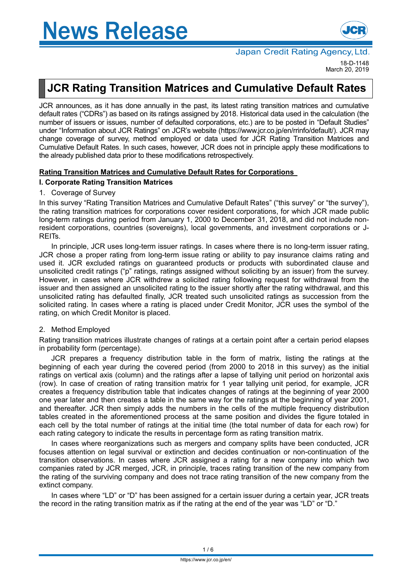

# **JCR Rating Transition Matrices and Cumulative Default Rates**

JCR announces, as it has done annually in the past, its latest rating transition matrices and cumulative default rates ("CDRs") as based on its ratings assigned by 2018. Historical data used in the calculation (the number of issuers or issues, number of defaulted corporations, etc.) are to be posted in "Default Studies" under "Information about JCR Ratings" on JCR's website (https://www.jcr.co.jp/en/rrinfo/default/). JCR may change coverage of survey, method employed or data used for JCR Rating Transition Matrices and Cumulative Default Rates. In such cases, however, JCR does not in principle apply these modifications to the already published data prior to these modifications retrospectively.

#### **Rating Transition Matrices and Cumulative Default Rates for Corporations**

#### **I. Corporate Rating Transition Matrices**

#### 1. Coverage of Survey

In this survey "Rating Transition Matrices and Cumulative Default Rates" ("this survey" or "the survey"), the rating transition matrices for corporations cover resident corporations, for which JCR made public long-term ratings during period from January 1, 2000 to December 31, 2018, and did not include nonresident corporations, countries (sovereigns), local governments, and investment corporations or J-REITs.

In principle, JCR uses long-term issuer ratings. In cases where there is no long-term issuer rating, JCR chose a proper rating from long-term issue rating or ability to pay insurance claims rating and used it. JCR excluded ratings on guaranteed products or products with subordinated clause and unsolicited credit ratings ("p" ratings, ratings assigned without soliciting by an issuer) from the survey. However, in cases where JCR withdrew a solicited rating following request for withdrawal from the issuer and then assigned an unsolicited rating to the issuer shortly after the rating withdrawal, and this unsolicited rating has defaulted finally, JCR treated such unsolicited ratings as succession from the solicited rating. In cases where a rating is placed under Credit Monitor, JCR uses the symbol of the rating, on which Credit Monitor is placed.

#### 2. Method Employed

Rating transition matrices illustrate changes of ratings at a certain point after a certain period elapses in probability form (percentage).

JCR prepares a frequency distribution table in the form of matrix, listing the ratings at the beginning of each year during the covered period (from 2000 to 2018 in this survey) as the initial ratings on vertical axis (column) and the ratings after a lapse of tallying unit period on horizontal axis (row). In case of creation of rating transition matrix for 1 year tallying unit period, for example, JCR creates a frequency distribution table that indicates changes of ratings at the beginning of year 2000 one year later and then creates a table in the same way for the ratings at the beginning of year 2001, and thereafter. JCR then simply adds the numbers in the cells of the multiple frequency distribution tables created in the aforementioned process at the same position and divides the figure totaled in each cell by the total number of ratings at the initial time (the total number of data for each row) for each rating category to indicate the results in percentage form as rating transition matrix.

In cases where reorganizations such as mergers and company splits have been conducted, JCR focuses attention on legal survival or extinction and decides continuation or non-continuation of the transition observations. In cases where JCR assigned a rating for a new company into which two companies rated by JCR merged, JCR, in principle, traces rating transition of the new company from the rating of the surviving company and does not trace rating transition of the new company from the extinct company.

In cases where "LD" or "D" has been assigned for a certain issuer during a certain year, JCR treats the record in the rating transition matrix as if the rating at the end of the year was "LD" or "D."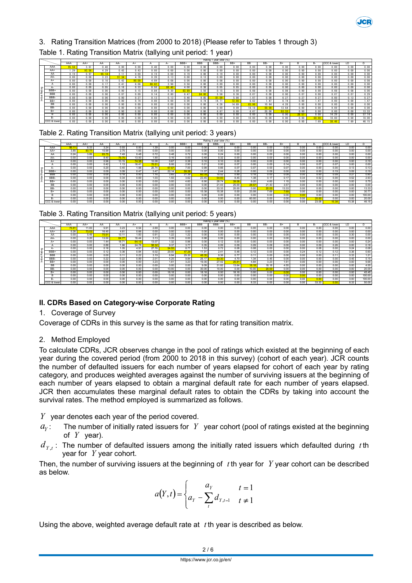

## 3. Rating Transition Matrices (from 2000 to 2018) (Please refer to Tables 1 through 3)

### Table 1. Rating Transition Matrix (tallying unit period: 1 year)

|    |             |       |       |      |       |       |       |       |       |            | Rating 1 year later (%) |       |       |       |       |       |       |             |      |       |
|----|-------------|-------|-------|------|-------|-------|-------|-------|-------|------------|-------------------------|-------|-------|-------|-------|-------|-------|-------------|------|-------|
|    |             | AAA   | AA+   | AA   | AA-   | A+    |       | д.    | BBB+  | <b>BBB</b> | BBB-                    | BB+   | BB.   | BB-   | B+    |       | н.    | CCC & lower | ۱D   |       |
|    | AAA         | 95.58 | 3.61  | 0.40 | 0.00  | 0.00  | 0.40  | 0.00  | 0.00  | 0.00       | 0.00                    | 0.00  | 0.00  | 0.00  | 0.00  | 0.00  | 0.00  | 0.00        | 0.00 | 0.00  |
|    | AA+         | 29    | 93 56 | 4.29 | 0.43  | 0.43  | 0.00  | 0.00  | 0.00  | 0.00       | 0.00                    | 0.00  | 0.00  | 0.00  | 0.00  | 0.00  | 0.00  | 0.00        | 0.00 | 0.00  |
|    | AA          | 0.19  | 0.97  | 95.1 | 3.11  | 0.00  | 0.19  | 0.00  | 0.19  | 0.00       | 0.19                    | 0.00  | 0.00  | 0.00  | 0.00  | 0.00  | 0.00  | 0.00        | 0.00 | 0.00  |
|    | AA-         | 0.00  | 0.00  | 3.23 | 91.34 | . 78  | 0.39  | 0.13  | 0.00  | 0.13       | 0.00                    | 0.00  | 0.00  | 0.00  | 0.00  | 0.00  | 0.00  | 0.00        | 0.00 | 0.00  |
|    | A+          | 0.00  | 0.00  | 0.16 | 5.42  | 90.09 | 4.09  | 0.08  | 0.00  | 0.00       | 0.08                    | 0.00  | 0.00  | 0.00  | 0.00  | 0.00  | 0.00  | 0.00        | 0.00 | 0.08  |
|    |             | 0.00  | 0.00  | 0.17 | 0.41  | 6.06  | 88.82 | 3.96  | 0.58  | 0.00       | 0.00                    | 0.00  | 0.00  | 0.00  | 0.00  | 0.00  | 0.00  | 0.00        | 0.00 | 0.00  |
|    |             | 0.00  | 0.00  | 0.05 | 0.16  | 0.33  | 8.50  | 86.40 | 4.00  | 0.38       | 0.05                    | 0.05  | 0.00  | 0.05  | 0.00  | 0.00  | 0.00  | 0.00        | 0.00 | 0.00  |
| ۱ä | BBB+        | 0.00  | 0.00  | 0.00 | 0.00  | 0.15  | 0.84  | 9.30  | 83.69 | 5.56       | 0.15                    | 0.00  | 0.08  | 0.00  | 0.08  | 0.00  | 0.00  | 0.08        | 0.08 | 0.00  |
|    | <b>BBB</b>  | 0.00  | 0.00  | 0.00 | 0.07  | 0.00  | 0.14  | 0.80  | 8 47  |            | 5.58                    | .36   | 00    | 0.00  | 0.00  | 0.07  | 0.00  | 0.07        | 0.07 | 0.29  |
|    | BBB-        | 0.00  | 0.00  | 0.00 | 0.00  | 0.27  |       | 0, 13 | 40    | 9.85       | 81 09                   | 5.86  |       | 0.00  | 0.27  |       | 0.27  | 0.00        | 13   | 0.27  |
|    | BB+         | 0.00  | 0.00  | 0.00 | 0. 00 | .74   | 0.00  | 0.00  | 0.00  |            | 14.71                   | 72.06 | -62   | 47    | 0.74  |       | 47    | 0.00        | 0.00 | 1.47  |
|    | <b>BB</b>   | 0.00  | 0.00  | 0.00 | 0.00  | 0.00  | 0.00  | 0.00  | 0.00  | 0.00       | 4.26                    | 14.89 |       | 10.64 | l. 26 |       | 0.00  | 0.00        | 0.00 | 0.00  |
|    | BB-         | 0.00  | 0.00  | 0.00 | 0.00  | 0.00  | 0.00  | 0.00  | 0.00  | 0.00       | 0.00                    | 9.09  | 18.18 | 50.00 | 13.64 |       | 0.00  | 9.09        | 0.00 | 0.00  |
|    | $B+$        | 0.00  | 0.00  | 0.00 | 0.00  | 0.00  | 0.00  | 0.00  | 0.00  | 0.00       | 6.67                    | 0.00  | 6.67  | 20.00 | 53.33 | 0.00  | 0.00  | 0.00        | 0.00 | 13.33 |
|    |             | 0.00  | 0.00  | 0.00 | 0.00  | 0.00  | 0.00  | 0.00  | 0.00  | 0.00       | 0.00                    | 0.00  | 0.00  | 0.00  | 0.00  | 28.57 | 0.00  | 14.29       | 0.00 | 57.14 |
|    | <b>B-</b>   | 0.00  | 0.00  | 0.00 | 0.00  | 0.00  | 0.00  | 0.00  | 0.00  | 0.00       | 0.00                    | 0.00  | 10.00 | 10.00 | 0.00  | 0.00  | 60.00 | 10.00       | 0.00 | 10.00 |
|    | CCC & lower | 0.00  | 0.00  | 0.00 | 0.00  | 0.00  | 0.00  | 0.00  | 0.00  | 0.00       | 0.00                    | 0.00  | 0.00  | 0.00  | 0.00  |       | 7.69  |             | 7.69 | 46.15 |

Table 2. Rating Transition Matrix (tallying unit period: 3 years)

|                          |             |      |       |       |       |       |       |       |       |            | Rating 3 year later (%) |       |           |       |       |      |       |             |       |        |
|--------------------------|-------------|------|-------|-------|-------|-------|-------|-------|-------|------------|-------------------------|-------|-----------|-------|-------|------|-------|-------------|-------|--------|
|                          |             | AAA  | AA+   | AA    | AA-   | $A+$  |       | А-    | BBB+  | <b>BBB</b> | BBB-                    | $RR+$ | <b>BB</b> | BB-   | $B+$  | R    | B-    | CCC & lower | ID.   |        |
|                          | AAA         | 86.1 | 8.33  | 3.24  | 0.93  | 0.00  | 1.39  | 0.00  | 0.00  | 0.00       | 0.00                    | 0.00  | 0.00      | 0.00  | 0.00  | 0.00 | 0.00  | 0.00        | 0.00  | 0.00   |
|                          | AA+         | 3.85 | 80.77 | 10.99 | 2.75  | 1.65  | 0.00  | 0.00  | 0.00  | 0.00       | 0.00                    | 0.00  | 0.00      | 0.00  | 0.00  | 0.00 | 0.00  | 0.00        | 0.00  | 0.00   |
|                          | AA          | 0.24 | 3.86  | 85.75 | 7.49  | 0.48  | 0.72  | 0.48  | 0.72  | 0.00       | 0.24                    | 0.00  | 0.00      | 0.00  | 0.00  | 0.00 | 0.00  | 0.00        | 0.00  | 0.00   |
|                          | AA-         | 0.00 | 0.00  | 8.40  | 75.7  | 13.00 | 1.90  | 0.16  | 0.00  | 0.48       | 0.32                    | 0.00  | 0.00      | 0.00  | 0.00  | 0.00 | 0.00  | 0.00        | 0.00  | 0.00   |
|                          | A+          | 0.00 | 0.00  | 0.96  | 13.15 | 74.38 | 10.08 | 0.67  | 0.38  | 0.10       | 0.10                    | 0.00  | 0.00      | 0.00  | 0.00  | 0.00 | 0.00  | 0.00        | 0.00  | 0.19   |
|                          |             | 0.00 | 0.00  | 0.42  | 1.13  | 16.41 | 70.51 | 8.06  | 2.90  | 0.21       | 0.00                    | 0.07  | 0.00      | 0.00  | 0.14  | 0.00 | 0.07  | 0.07        | 0.00  | 0.00   |
|                          |             | 0.00 | 0.00  | 0.20  | 0.40  | 1.98  | 20.74 | 67.57 | 7.00  | 0.99       | 0.66                    | 0.07  | 0.07      | 0.00  | 0.07  | 0.00 | 0.00  | 0.00        | 0.13  | 0.13   |
|                          | BBB-        | 0.00 | 0.00  | 0.09  | 0.09  | 0.47  | 3.47  | 22.14 | 59.38 | 11.07      | 2.44                    | 0.28  | 0.00      | 0.09  | 0.00  | 0.00 | 0.00  | 0.19        | 0.09  | 0.19   |
| $\overline{\phantom{a}}$ | <b>BBB</b>  | 0.00 | 0.00  | 0.00  | 0.18  | 0.00  | 1.16  | 3.65  | 21.39 | 60.78      | 10.52                   | 0.89  | 0.18      | 0.00  | 0.09  | 0.00 | 0.00  | 0.09        | 0.27  | 0.80   |
|                          | BBB-        | 0.00 | 0.00  | 0.00  | 0.34  | 0.69  | 1.03  | 1.55  | 3.62  | 23.45      | 54.83                   | 8.45  | 1.38      | 0.17  | 0.17  | 0.34 | 0.52  | 0.00        | 0.52  | 2.93   |
|                          | BB+         | 0.00 | 0.00  | 0.00  | 0.00  | 0.00  | 0.00  | 0.00  | 4.60  | 6.90       | 28.74                   | 39.08 | 9.20      | 4.60  | 1.15  | 0.00 | 0.00  | 0.00        | 0.00  | 5.75   |
|                          | BB          | 0.00 | 0.00  | 0.00  | 0.00  | 0.00  | 0.00  | 0.00  | 0.00  | 0.00       | 21.43                   | 25.00 | 28.57     | 21.43 | 3.57  | 0.00 | 0.00  | 0.00        | 0.00  | 0.00   |
|                          | BB-         | 0.00 | 0.00  | 0.00  | 0.00  | 0.00  | 0.00  | 0.00  | 0.00  | 0.00       | 33.33                   | 20.00 | 0.00      | 20.00 | 13.33 | 0.00 | 0.00  | 0.00        | 0.00  | 13.33  |
|                          | $B+$        | 0.00 | 0.00  | 0.00  | 0.00  | 0.00  | 0.00  | 0.00  | 0.00  | 15.38      | 15.38                   | 0.00  | 23.08     | 7.69  | 7.69  | 0.00 | 0.00  | 0.00        | 0.00  | 30.77  |
|                          | R.          | 0.00 | 0.00  | 0.00  | 0.00  | 0.00  | 0.00  | 0.00  | 0.00  | 0.00       | 0.00                    | 0.00  | 0.00      | 0.00  | 0.00  | 0.00 | 0.00  | 0.00        | 0.00  | 100.00 |
|                          | н.          | 0.00 | 0.00  | 0.00  | 0.00  | 0.00  | 0.00  | 0.00  | 0.00  | 0.00       | 0.00                    | 0.00  | 60.00     | 0.00  | 0.00  | 0.00 | 20.00 | 0.00        | 0.00  | 20.00  |
|                          | CCC & lower | 0.00 | 0.00  | 0.00  | 0.00  | 0.00  | 0.00  | 0.00  | 0.00  | 0.00       | 0.00                    | 0.00  | 0.00      | 0.00  | 0.00  | 0.00 | 23.08 | 15.38       | 15.38 | 46.15  |

|  | Table 3. Rating Transition Matrix (tallying unit period: 5 years) |  |  |  |
|--|-------------------------------------------------------------------|--|--|--|
|  |                                                                   |  |  |  |

|           |             |      |       |       |       |       |       |       |       |            | Rating 5 year later (%) |       |       |       |      |      |       |             |      |        |
|-----------|-------------|------|-------|-------|-------|-------|-------|-------|-------|------------|-------------------------|-------|-------|-------|------|------|-------|-------------|------|--------|
|           |             | AAA  | AA+   | AA    | AA-   | $A+$  | А     | $A-$  | BBB+  | <b>BBB</b> | BBB-                    | BB+   | BВ    | BB-   | $B+$ | в    | в.    | CCC & lower | LD   |        |
|           | AAA         | 75.8 | 11.83 | 5.91  | 3.23  | 0.54  | 2.69  | 0.00  | 0.00  | 0.00       | 0.00                    | 0.00  | 0.00  | 0.00  | 0.00 | 0.00 | 0.00  | 0.00        | 0.00 | 0.00   |
|           | AA+         | 5.26 | 73.03 | 16.45 | 4.61  | 0.66  | 0.00  | 0.00  | 0.00  | 0.00       | 0.00                    | 0.00  | 0.00  | 0.00  | 0.00 | 0.00 | 0.00  | 0.00        | 0.00 | 0.00   |
|           | AA          | 0.00 | 5.49  | 75.91 | 13.11 | 1.83  | 0.91  | 1.22  | 1.22  | 0.00       | 0.00                    | 0.00  | 0.00  | 0.00  | 0.00 | 0.00 | 0.00  | 0.00        | 0.30 | 0.00   |
|           | AA-         | 0.00 | 0.20  | 13.50 | 64.77 | 16.44 | 3.13  | 0.39  | 0.00  | 0.98       | 0.59                    | 0.00  | 0.00  | 0.00  | 0.00 | 0.00 | 0.00  | 0.00        | 0.00 | 0.00   |
|           | $A+$        | 0.00 | 0.00  | 1.44  | 18.71 | 64.15 | 13.07 | 1.32  | 0.96  | 0.00       | 0.12                    | 0.00  | 0.00  | 0.00  | 0.00 | 0.00 | 0.00  | 0.00        | 0.00 | 0.24   |
|           |             | 0.00 | 0.00  | 0.88  | 1.66  | 24.78 | 58.32 | 9.37  | 3.77  | 0.35       | 0.09                    | 0.09  | 0.09  | 0.09  | 0.00 | 0.00 | 0.09  | 0.26        | 0.00 | 0.18   |
|           | д-          | 0.00 | 0.00  | 0.16  | 1.05  | 4.91  | 27.76 | 54.55 | 8.77  | 1.53       | 0.72                    | 0.08  | 0.08  | 0.00  | 0.00 | 0.00 | 0.08  | 0.00        | 0.24 | 0.08   |
| . .<br>۱è | <b>BBB</b>  | 0.00 | 0.00  | 0.12  | 0.36  | 0.84  | 6.02  | 29.00 | 47.29 | 11.91      | 2.41                    | 0.48  | 0.12  | 0.00  | 0.00 | 0.24 | 0.12  | 0.12        | 0.36 | 0.60   |
|           | BBB         | 0.00 | 0.00  | 0.00  | 0.11  | 0.22  | 3.19  | 6.94  | 29.30 | 48.35      | 9.36                    | 0.77  | 0.11  | 0.00  | 0.00 | 0.00 | 0.00  | 0.11        | 0.33 | 1.21   |
| ۱ë        | BBB-        | 0.00 | 0.00  | 0.22  | 0.22  | 0.89  | 2.01  | 4.25  | 9.84  | 26.17      | 44.3                    | 4.70  | 1.34  | 0.45  | 0.00 | 0.00 | 0.00  | 0.00        | 0.45 | 5.15   |
| --        | BB+         | 0.00 | 0.00  | 0.00  | 0.00  | 0.00  | 3.23  | 1.61  | 3.23  | 19.35      | 27.42                   | 25.81 | 4.84  | 3.23  | 1.61 | 0.00 | 0.00  | 0.00        | 0.00 | 9.68   |
|           | <b>BB</b>   | 0.00 | 0.00  | 0.00  | 0.00  | 0.00  | 0.00  | 0.00  | 0.00  | 9.09       | 31.82                   | 13.64 | 18.18 | 18.18 | 4.55 | 0.00 | 0.00  | 0.00        | 0.00 | 4.55   |
|           | BB-         | 0.00 | 0.00  | 0.00  | 0.00  | 0.00  | 0.00  | 10.00 | 0.00  | 30.00      | 10.00                   | 0.00  | 10.00 | 20.00 | 0.00 | 0.00 | 0.00  | 0.00        | 0.00 | 20.00  |
|           | $B+$        | 0.00 | 0.00  | 0.00  | 0.00  | 0.00  | 0.00  | 18.18 | 0.00  | 18.18      | 0.00                    | 18.18 | 0.00  | 0.00  | 0.00 | 0.00 | 0.00  | 0.00        | 0.00 | 45.45  |
|           | B           | 0.00 | 0.00  | 0.00  | 0.00  | 0.00  | 0.00  | 0.00  | 0.00  | 0.00       | 0.00                    | 0.00  | 0.00  | 0.00  | 0.00 | 0.00 | 0.00  | 0.00        | 0.00 | 100.00 |
|           | <b>B-</b>   | 0.00 | 0.00  | 0.00  | 0.00  | 0.00  | 0.00  | 0.00  | 0.00  | 0.00       | 0.00                    | 0.00  | 0.00  | 0.00  | 0.00 | 0.00 | 0.00  | 0.00        | 0.00 | 100.00 |
|           | CCC & lower | 0.00 | 0.00  | 0.00  | 0.00  | 0.00  | 0.00  | 0.00  | 0.00  | 0.00       | 0.00                    | 0.00  | 8.33  | 0.00  | 0.00 | 0.00 | 33.33 | 0.00        | 8.33 | 50.00  |

## **II. CDRs Based on Category-wise Corporate Rating**

## 1. Coverage of Survey

Coverage of CDRs in this survey is the same as that for rating transition matrix.

## 2. Method Employed

To calculate CDRs, JCR observes change in the pool of ratings which existed at the beginning of each year during the covered period (from 2000 to 2018 in this survey) (cohort of each year). JCR counts the number of defaulted issuers for each number of years elapsed for cohort of each year by rating category, and produces weighted averages against the number of surviving issuers at the beginning of each number of years elapsed to obtain a marginal default rate for each number of years elapsed. JCR then accumulates these marginal default rates to obtain the CDRs by taking into account the survival rates. The method employed is summarized as follows.

*Y* year denotes each year of the period covered.

- $a_{v}$ : The number of initially rated issuers for  $Y$  year cohort (pool of ratings existed at the beginning of *Y* year).
- $d_{Y,t}$ : The number of defaulted issuers among the initially rated issuers which defaulted during *t* th year for *Y* year cohort.

Then, the number of surviving issuers at the beginning of *t* th year for *Y* year cohort can be described as below.

$$
a(Y,t) = \begin{cases} a_Y & t = 1 \\ a_Y - \sum_t d_{Y,t-1} & t \neq 1 \end{cases}
$$

Using the above, weighted average default rate at *t* th year is described as below.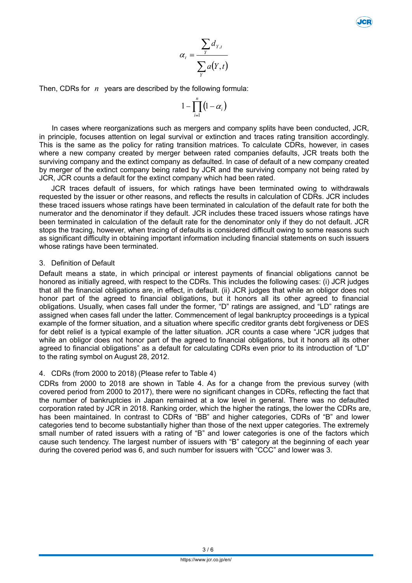$$
\alpha_t = \frac{\sum_{Y} d_{Y,t}}{\sum_{Y} a(Y,t)}
$$

Then, CDRs for *n* years are described by the following formula:

$$
1-\prod_{i=1}^n\bigl(1-\alpha_i\bigr)
$$

In cases where reorganizations such as mergers and company splits have been conducted, JCR, in principle, focuses attention on legal survival or extinction and traces rating transition accordingly. This is the same as the policy for rating transition matrices. To calculate CDRs, however, in cases where a new company created by merger between rated companies defaults, JCR treats both the surviving company and the extinct company as defaulted. In case of default of a new company created by merger of the extinct company being rated by JCR and the surviving company not being rated by JCR, JCR counts a default for the extinct company which had been rated.

JCR traces default of issuers, for which ratings have been terminated owing to withdrawals requested by the issuer or other reasons, and reflects the results in calculation of CDRs. JCR includes these traced issuers whose ratings have been terminated in calculation of the default rate for both the numerator and the denominator if they default. JCR includes these traced issuers whose ratings have been terminated in calculation of the default rate for the denominator only if they do not default. JCR stops the tracing, however, when tracing of defaults is considered difficult owing to some reasons such as significant difficulty in obtaining important information including financial statements on such issuers whose ratings have been terminated.

#### 3. Definition of Default

Default means a state, in which principal or interest payments of financial obligations cannot be honored as initially agreed, with respect to the CDRs. This includes the following cases: (i) JCR judges that all the financial obligations are, in effect, in default. (ii) JCR judges that while an obligor does not honor part of the agreed to financial obligations, but it honors all its other agreed to financial obligations. Usually, when cases fall under the former, "D" ratings are assigned, and "LD" ratings are assigned when cases fall under the latter. Commencement of legal bankruptcy proceedings is a typical example of the former situation, and a situation where specific creditor grants debt forgiveness or DES for debt relief is a typical example of the latter situation. JCR counts a case where "JCR judges that while an obligor does not honor part of the agreed to financial obligations, but it honors all its other agreed to financial obligations" as a default for calculating CDRs even prior to its introduction of "LD" to the rating symbol on August 28, 2012.

#### 4. CDRs (from 2000 to 2018) (Please refer to Table 4)

CDRs from 2000 to 2018 are shown in Table 4. As for a change from the previous survey (with covered period from 2000 to 2017), there were no significant changes in CDRs, reflecting the fact that the number of bankruptcies in Japan remained at a low level in general. There was no defaulted corporation rated by JCR in 2018. Ranking order, which the higher the ratings, the lower the CDRs are, has been maintained. In contrast to CDRs of "BB" and higher categories, CDRs of "B" and lower categories tend to become substantially higher than those of the next upper categories. The extremely small number of rated issuers with a rating of "B" and lower categories is one of the factors which cause such tendency. The largest number of issuers with "B" category at the beginning of each year during the covered period was 6, and such number for issuers with "CCC" and lower was 3.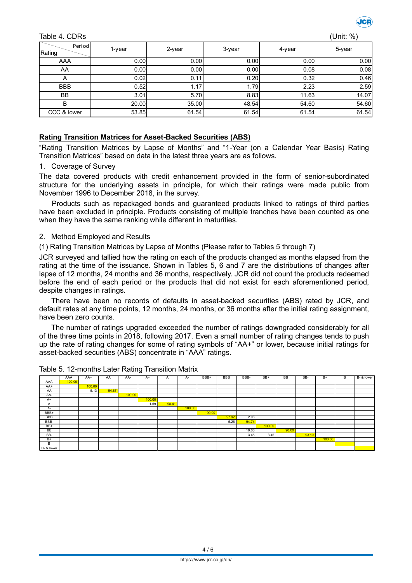

#### Table 4. CDRs (Unit: %)

| Period<br>Rating | 1-year | 2-year | 3-year | $4$ -year | 5-year |
|------------------|--------|--------|--------|-----------|--------|
| AAA              | 0.00   | 0.00   | 0.00   | 0.00      | 0.00   |
| AA               | 0.00   | 0.00   | 0.00   | 0.08      | 0.08   |
| A                | 0.02   | 0.11   | 0.20   | 0.32      | 0.46   |
| <b>BBB</b>       | 0.52   | 1.17   | 1.79   | 2.23      | 2.59   |
| <b>BB</b>        | 3.01   | 5.70   | 8.83   | 11.63     | 14.07  |
| B                | 20.00  | 35.00  | 48.54  | 54.60     | 54.60  |
| CCC & lower      | 53.85  | 61.54  | 61.54  | 61.54     | 61.54  |

#### **Rating Transition Matrices for Asset-Backed Securities (ABS)**

"Rating Transition Matrices by Lapse of Months" and "1-Year (on a Calendar Year Basis) Rating Transition Matrices" based on data in the latest three years are as follows.

#### 1. Coverage of Survey

The data covered products with credit enhancement provided in the form of senior-subordinated structure for the underlying assets in principle, for which their ratings were made public from November 1996 to December 2018, in the survey.

Products such as repackaged bonds and guaranteed products linked to ratings of third parties have been excluded in principle. Products consisting of multiple tranches have been counted as one when they have the same ranking while different in maturities.

#### 2. Method Employed and Results

(1) Rating Transition Matrices by Lapse of Months (Please refer to Tables 5 through 7)

JCR surveyed and tallied how the rating on each of the products changed as months elapsed from the rating at the time of the issuance. Shown in Tables 5, 6 and 7 are the distributions of changes after lapse of 12 months, 24 months and 36 months, respectively. JCR did not count the products redeemed before the end of each period or the products that did not exist for each aforementioned period, despite changes in ratings.

There have been no records of defaults in asset-backed securities (ABS) rated by JCR, and default rates at any time points, 12 months, 24 months, or 36 months after the initial rating assignment, have been zero counts.

The number of ratings upgraded exceeded the number of ratings downgraded considerably for all of the three time points in 2018, following 2017. Even a small number of rating changes tends to push up the rate of rating changes for some of rating symbols of "AA+" or lower, because initial ratings for asset-backed securities (ABS) concentrate in "AAA" ratings.

|            | AAA    | AA+    | AA    | AA-    | $A+$   | A     | A-     | BBB+   | BBB   | BBB-  | BB+    | <b>BB</b> | BB-   | $B+$   | B | B- & lower |
|------------|--------|--------|-------|--------|--------|-------|--------|--------|-------|-------|--------|-----------|-------|--------|---|------------|
| AAA        | 100.00 |        |       |        |        |       |        |        |       |       |        |           |       |        |   |            |
| AA+        |        | 100.00 |       |        |        |       |        |        |       |       |        |           |       |        |   |            |
| AA         |        | 5.13   | 94.87 |        |        |       |        |        |       |       |        |           |       |        |   |            |
| AA-        |        |        |       | 100.00 |        |       |        |        |       |       |        |           |       |        |   |            |
| $A+$       |        |        |       |        | 100.00 |       |        |        |       |       |        |           |       |        |   |            |
| A          |        |        |       |        | 1.59   | 98.41 |        |        |       |       |        |           |       |        |   |            |
| $A-$       |        |        |       |        |        |       | 100.00 |        |       |       |        |           |       |        |   |            |
| BBB+       |        |        |       |        |        |       |        | 100.00 |       |       |        |           |       |        |   |            |
| <b>BBB</b> |        |        |       |        |        |       |        |        | 97.92 | 2.08  |        |           |       |        |   |            |
| BBB-       |        |        |       |        |        |       |        |        | 5.26  | 94.74 |        |           |       |        |   |            |
| BB+        |        |        |       |        |        |       |        |        |       |       | 100.00 |           |       |        |   |            |
| BB         |        |        |       |        |        |       |        |        |       | 10.00 |        | 90.00     |       |        |   |            |
| BB-        |        |        |       |        |        |       |        |        |       | 3.45  | 3.45   |           | 93.10 |        |   |            |
| $B+$       |        |        |       |        |        |       |        |        |       |       |        |           |       | 100.00 |   |            |
| B          |        |        |       |        |        |       |        |        |       |       |        |           |       |        |   |            |
| B- & lower |        |        |       |        |        |       |        |        |       |       |        |           |       |        |   |            |

#### Table 5. 12-months Later Rating Transition Matrix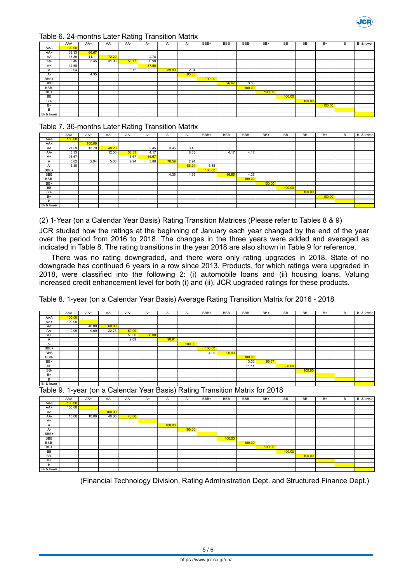

#### Table 6. 24-months Later Rating Transition Matrix

|            | AAA    | AA+   | AA    | AA-   | $A+$  | A     | A-    | BBB+   | <b>BBB</b> | BBB-   | BB+    | <b>BB</b> | BB-    | $B+$   | B | B- & lower |
|------------|--------|-------|-------|-------|-------|-------|-------|--------|------------|--------|--------|-----------|--------|--------|---|------------|
| AAA        | 100.00 |       |       |       |       |       |       |        |            |        |        |           |        |        |   |            |
| AA+        | 33.33  | 66.67 |       |       |       |       |       |        |            |        |        |           |        |        |   |            |
| AA         | 13.89  | 11.11 | 72.22 |       | 2.78  |       |       |        |            |        |        |           |        |        |   |            |
| AA-        | 3.45   | 3.45  | 31.03 | 55.17 | 6.90  |       |       |        |            |        |        |           |        |        |   |            |
| $A+$       | 12.50  |       |       |       | 87.50 |       |       |        |            |        |        |           |        |        |   |            |
| A          | 2.04   |       |       | 6.12  |       | 89.80 | 2.04  |        |            |        |        |           |        |        |   |            |
| A-         |        | 4.35  |       |       |       |       | 95.65 |        |            |        |        |           |        |        |   |            |
| BBB+       |        |       |       |       |       |       |       | 100.00 |            |        |        |           |        |        |   |            |
| <b>BBB</b> |        |       |       |       |       |       |       |        | 96.67      | 3.33   |        |           |        |        |   |            |
| BBB-       |        |       |       |       |       |       |       |        |            | 100.00 |        |           |        |        |   |            |
| $BB+$      |        |       |       |       |       |       |       |        |            |        | 100.00 |           |        |        |   |            |
| BB         |        |       |       |       |       |       |       |        |            |        |        | 100.00    |        |        |   |            |
| BB-        |        |       |       |       |       |       |       |        |            |        |        |           | 100.00 |        |   |            |
| $B+$       |        |       |       |       |       |       |       |        |            |        |        |           |        | 100.00 |   |            |
| В          |        |       |       |       |       |       |       |        |            |        |        |           |        |        |   |            |
| B- & lower |        |       |       |       |       |       |       |        |            |        |        |           |        |        |   |            |

#### Table 7. 36-months Later Rating Transition Matrix

|            |        |        |       |       | ັ     |       |       |        |            |        |        |           |        |        |   |            |
|------------|--------|--------|-------|-------|-------|-------|-------|--------|------------|--------|--------|-----------|--------|--------|---|------------|
|            | AAA    | AA+    | AA    | AA-   | $A+$  | A     | A-    | BBB+   | <b>BBB</b> | BBB-   | BB+    | <b>BB</b> | BB-    | $B+$   | в | B- & lower |
| AAA        | 100.00 |        |       |       |       |       |       |        |            |        |        |           |        |        |   |            |
| $AA+$      |        | 100.00 |       |       |       |       |       |        |            |        |        |           |        |        |   |            |
| AA         | 27.59  | 13.79  | 48.28 |       | 3.45  | 3.45  | 3.45  |        |            |        |        |           |        |        |   |            |
| AA-        | 8.33   |        | 12.50 | 58.33 | 4.17  |       | 8.33  |        | 4.17       | 4.17   |        |           |        |        |   |            |
| $A+$       | 16.67  |        |       | 16.67 | 66.67 |       |       |        |            |        |        |           |        |        |   |            |
| A          | 8.82   | 2.94   | 5.88  | 2.94  | 5.88  | 70.59 | 2.94  |        |            |        |        |           |        |        |   |            |
| $A-$       | 5.88   |        |       |       |       |       | 88.24 | 5.88   |            |        |        |           |        |        |   |            |
| BBB+       |        |        |       |       |       |       |       | 100.00 |            |        |        |           |        |        |   |            |
| BBB        |        |        |       |       |       | 4.35  | 4.35  |        | 86.96      | 4.35   |        |           |        |        |   |            |
| BBB-       |        |        |       |       |       |       |       |        |            | 100.00 |        |           |        |        |   |            |
| BB+        |        |        |       |       |       |       |       |        |            |        | 100.00 |           |        |        |   |            |
| <b>BB</b>  |        |        |       |       |       |       |       |        |            |        |        | 100.00    |        |        |   |            |
| BB-        |        |        |       |       |       |       |       |        |            |        |        |           | 100.00 |        |   |            |
| $B+$       |        |        |       |       |       |       |       |        |            |        |        |           |        | 100.00 |   |            |
| B          |        |        |       |       |       |       |       |        |            |        |        |           |        |        |   |            |
| B- & lower |        |        |       |       |       |       |       |        |            |        |        |           |        |        |   |            |

(2) 1-Year (on a Calendar Year Basis) Rating Transition Matrices (Please refer to Tables 8 & 9)

JCR studied how the ratings at the beginning of January each year changed by the end of the year over the period from 2016 to 2018. The changes in the three years were added and averaged as indicated in Table 8. The rating transitions in the year 2018 are also shown in Table 9 for reference.

There was no rating downgraded, and there were only rating upgrades in 2018. State of no downgrade has continued 6 years in a row since 2013. Products, for which ratings were upgraded in 2018, were classified into the following 2: (i) automobile loans and (ii) housing loans. Valuing increased credit enhancement level for both (i) and (ii), JCR upgraded ratings for these products.

Table 8. 1-year (on a Calendar Year Basis) Average Rating Transition Matrix for 2016 - 2018

|            | AAA                                                                          | $AA+$ | AA     | AA-   | $A+$  | $\overline{A}$ | $A-$   | BBB+   | <b>BBB</b> | BBB-   | BB+    | <b>BB</b> | BB-    | $B+$ | B | B- & lower |
|------------|------------------------------------------------------------------------------|-------|--------|-------|-------|----------------|--------|--------|------------|--------|--------|-----------|--------|------|---|------------|
| AAA        | 100.00                                                                       |       |        |       |       |                |        |        |            |        |        |           |        |      |   |            |
| $AA+$      | 100.00                                                                       |       |        |       |       |                |        |        |            |        |        |           |        |      |   |            |
| AA         |                                                                              | 40.00 | 60.00  |       |       |                |        |        |            |        |        |           |        |      |   |            |
| AA-        | 9.09                                                                         | 9.09  | 22.73  | 59.09 |       |                |        |        |            |        |        |           |        |      |   |            |
| $A+$       |                                                                              |       |        | 50.00 | 50.00 |                |        |        |            |        |        |           |        |      |   |            |
| Α          |                                                                              |       |        | 9.09  |       | 90.91          |        |        |            |        |        |           |        |      |   |            |
| A-         |                                                                              |       |        |       |       |                | 100.00 |        |            |        |        |           |        |      |   |            |
| BBB+       |                                                                              |       |        |       |       |                |        | 100.00 |            |        |        |           |        |      |   |            |
| <b>BBB</b> |                                                                              |       |        |       |       |                |        | 4.00   | 96.00      |        |        |           |        |      |   |            |
| BBB-       |                                                                              |       |        |       |       |                |        |        |            | 100.00 |        |           |        |      |   |            |
| BB+        |                                                                              |       |        |       |       |                |        |        |            | 3.33   | 96.67  |           |        |      |   |            |
| BB         |                                                                              |       |        |       |       |                |        |        |            | 11.11  |        | 88.89     |        |      |   |            |
| BB-        |                                                                              |       |        |       |       |                |        |        |            |        |        |           | 100.00 |      |   |            |
| $B+$       |                                                                              |       |        |       |       |                |        |        |            |        |        |           |        |      |   |            |
| B          |                                                                              |       |        |       |       |                |        |        |            |        |        |           |        |      |   |            |
| B- & lower |                                                                              |       |        |       |       |                |        |        |            |        |        |           |        |      |   |            |
|            | Table 9. 1-year (on a Calendar Year Basis) Rating Transition Matrix for 2018 |       |        |       |       |                |        |        |            |        |        |           |        |      |   |            |
|            | AAA                                                                          | AA+   | AA     | AA-   | $A+$  | A              | A-     | BBB+   | <b>BBB</b> | BBB-   | BB+    | BB        | BB-    | $B+$ | В | B- & lower |
| AAA        | 100.00                                                                       |       |        |       |       |                |        |        |            |        |        |           |        |      |   |            |
| AA+        | 100.00                                                                       |       |        |       |       |                |        |        |            |        |        |           |        |      |   |            |
| AA         |                                                                              |       | 100.00 |       |       |                |        |        |            |        |        |           |        |      |   |            |
| AA-        | 10.00                                                                        | 10.00 | 40.00  | 40.00 |       |                |        |        |            |        |        |           |        |      |   |            |
| $A+$       |                                                                              |       |        |       |       |                |        |        |            |        |        |           |        |      |   |            |
| Α          |                                                                              |       |        |       |       | 100.00         |        |        |            |        |        |           |        |      |   |            |
| А-         |                                                                              |       |        |       |       |                | 100.00 |        |            |        |        |           |        |      |   |            |
| BBB+       |                                                                              |       |        |       |       |                |        |        |            |        |        |           |        |      |   |            |
|            |                                                                              |       |        |       |       |                |        |        |            |        |        |           |        |      |   |            |
| <b>BBB</b> |                                                                              |       |        |       |       |                |        |        | 100.00     |        |        |           |        |      |   |            |
| BBB-       |                                                                              |       |        |       |       |                |        |        |            | 100.00 |        |           |        |      |   |            |
| BB+        |                                                                              |       |        |       |       |                |        |        |            |        | 100.00 |           |        |      |   |            |
| <b>BB</b>  |                                                                              |       |        |       |       |                |        |        |            |        |        | 100.00    |        |      |   |            |
| BB-        |                                                                              |       |        |       |       |                |        |        |            |        |        |           | 100.00 |      |   |            |
| $B+$       |                                                                              |       |        |       |       |                |        |        |            |        |        |           |        |      |   |            |
| B          |                                                                              |       |        |       |       |                |        |        |            |        |        |           |        |      |   |            |

(Financial Technology Division, Rating Administration Dept. and Structured Finance Dept.)